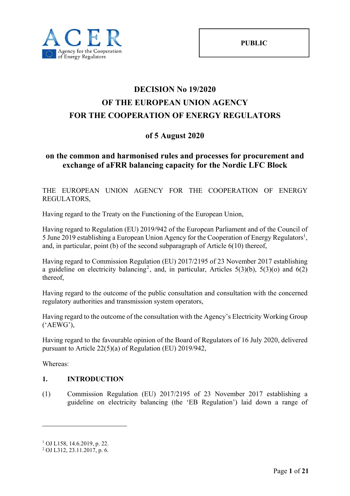# **DECISION No 19/2020 OF THE EUROPEAN UNION AGENCY FOR THE COOPERATION OF ENERGY REGULATORS**

# **of 5 August 2020**

# **on the common and harmonised rules and processes for procurement and exchange of aFRR balancing capacity for the Nordic LFC Block**

THE EUROPEAN UNION AGENCY FOR THE COOPERATION OF ENERGY REGULATORS,

Having regard to the Treaty on the Functioning of the European Union,

Having regard to Regulation (EU) 2019/942 of the European Parliament and of the Council of 5 June 2019 establishing a European Union Agency for the Cooperation of Energy Regulators<sup>1</sup>, and, in particular, point (b) of the second subparagraph of Article 6(10) thereof,

Having regard to Commission Regulation (EU) 2017/2195 of 23 November 2017 establishing a guideline on electricity balancing<sup>2</sup>, and, in particular, Articles 5(3)(b), 5(3)(o) and 6(2) thereof,

Having regard to the outcome of the public consultation and consultation with the concerned regulatory authorities and transmission system operators,

Having regard to the outcome of the consultation with the Agency's Electricity Working Group ('AEWG'),

Having regard to the favourable opinion of the Board of Regulators of 16 July 2020, delivered pursuant to Article 22(5)(a) of Regulation (EU) 2019/942,

Whereas:

1

### **1. INTRODUCTION**

(1) Commission Regulation (EU) 2017/2195 of 23 November 2017 establishing a guideline on electricity balancing (the 'EB Regulation') laid down a range of

<sup>1</sup> OJ L158, 14.6.2019, p. 22.

<sup>2</sup> OJ L312, 23.11.2017, p. 6.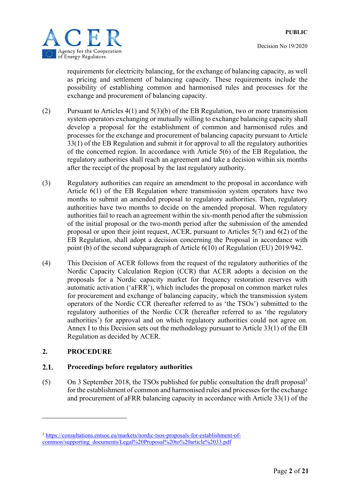

requirements for electricity balancing, for the exchange of balancing capacity, as well as pricing and settlement of balancing capacity. These requirements include the possibility of establishing common and harmonised rules and processes for the exchange and procurement of balancing capacity.

- (2) Pursuant to Articles 4(1) and 5(3)(b) of the EB Regulation, two or more transmission system operators exchanging or mutually willing to exchange balancing capacity shall develop a proposal for the establishment of common and harmonised rules and processes for the exchange and procurement of balancing capacity pursuant to Article 33(1) of the EB Regulation and submit it for approval to all the regulatory authorities of the concerned region. In accordance with Article 5(6) of the EB Regulation, the regulatory authorities shall reach an agreement and take a decision within six months after the receipt of the proposal by the last regulatory authority.
- (3) Regulatory authorities can require an amendment to the proposal in accordance with Article 6(1) of the EB Regulation where transmission system operators have two months to submit an amended proposal to regulatory authorities. Then, regulatory authorities have two months to decide on the amended proposal. When regulatory authorities fail to reach an agreement within the six-month period after the submission of the initial proposal or the two-month period after the submission of the amended proposal or upon their joint request, ACER, pursuant to Articles 5(7) and 6(2) of the EB Regulation, shall adopt a decision concerning the Proposal in accordance with point (b) of the second subparagraph of Article 6(10) of Regulation (EU) 2019/942.
- (4) This Decision of ACER follows from the request of the regulatory authorities of the Nordic Capacity Calculation Region (CCR) that ACER adopts a decision on the proposals for a Nordic capacity market for frequency restoration reserves with automatic activation ('aFRR'), which includes the proposal on common market rules for procurement and exchange of balancing capacity, which the transmission system operators of the Nordic CCR (hereafter referred to as 'the TSOs') submitted to the regulatory authorities of the Nordic CCR (hereafter referred to as 'the regulatory authorities') for approval and on which regulatory authorities could not agree on. Annex I to this Decision sets out the methodology pursuant to Article 33(1) of the EB Regulation as decided by ACER.

## **2. PROCEDURE**

1

#### $2.1.$ **Proceedings before regulatory authorities**

(5) On 3 September 2018, the TSOs published for public consultation the draft proposal<sup>3</sup> for the establishment of common and harmonised rules and processes for the exchange and procurement of aFRR balancing capacity in accordance with Article 33(1) of the

<sup>3</sup> https://consultations.entsoe.eu/markets/nordic-tsos-proposals-for-establishment-ofcommon/supporting\_documents/Legal%20Proposal%20to%20article%2033.pdf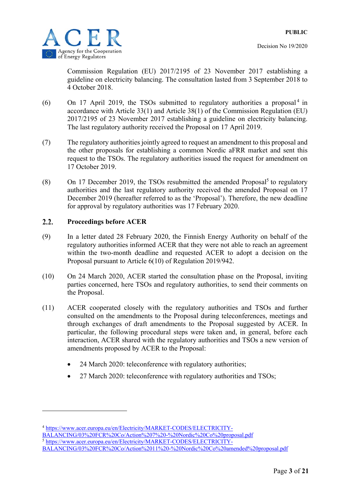Commission Regulation (EU) 2017/2195 of 23 November 2017 establishing a guideline on electricity balancing. The consultation lasted from 3 September 2018 to 4 October 2018.

- (6) On 17 April 2019, the TSOs submitted to regulatory authorities a proposal<sup>4</sup> in accordance with Article 33(1) and Article 38(1) of the Commission Regulation (EU) 2017/2195 of 23 November 2017 establishing a guideline on electricity balancing. The last regulatory authority received the Proposal on 17 April 2019.
- (7) The regulatory authorities jointly agreed to request an amendment to this proposal and the other proposals for establishing a common Nordic aFRR market and sent this request to the TSOs. The regulatory authorities issued the request for amendment on 17 October 2019.
- $(8)$  On 17 December 2019, the TSOs resubmitted the amended Proposal<sup>5</sup> to regulatory authorities and the last regulatory authority received the amended Proposal on 17 December 2019 (hereafter referred to as the 'Proposal'). Therefore, the new deadline for approval by regulatory authorities was 17 February 2020.

#### $2.2.$ **Proceedings before ACER**

-

- (9) In a letter dated 28 February 2020, the Finnish Energy Authority on behalf of the regulatory authorities informed ACER that they were not able to reach an agreement within the two-month deadline and requested ACER to adopt a decision on the Proposal pursuant to Article 6(10) of Regulation 2019/942.
- (10) On 24 March 2020, ACER started the consultation phase on the Proposal, inviting parties concerned, here TSOs and regulatory authorities, to send their comments on the Proposal.
- (11) ACER cooperated closely with the regulatory authorities and TSOs and further consulted on the amendments to the Proposal during teleconferences, meetings and through exchanges of draft amendments to the Proposal suggested by ACER. In particular, the following procedural steps were taken and, in general, before each interaction, ACER shared with the regulatory authorities and TSOs a new version of amendments proposed by ACER to the Proposal:
	- 24 March 2020: teleconference with regulatory authorities;
	- 27 March 2020: teleconference with regulatory authorities and TSOs;

BALANCING/03%20FCR%20Co/Action%207%20-%20Nordic%20Co%20proposal.pdf

BALANCING/03%20FCR%20Co/Action%2011%20-%20Nordic%20Co%20amended%20proposal.pdf

<sup>4</sup> https://www.acer.europa.eu/en/Electricity/MARKET-CODES/ELECTRICITY-

<sup>5</sup> https://www.acer.europa.eu/en/Electricity/MARKET-CODES/ELECTRICITY-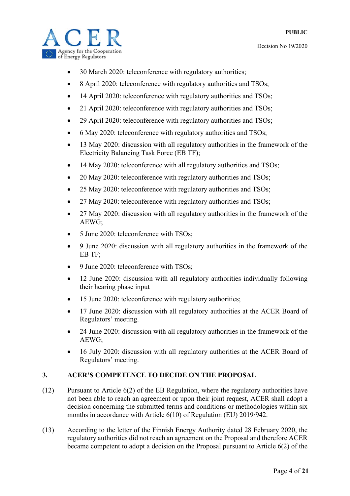

- 30 March 2020: teleconference with regulatory authorities;
- 8 April 2020: teleconference with regulatory authorities and TSOs;
- 14 April 2020: teleconference with regulatory authorities and TSOs;
- 21 April 2020: teleconference with regulatory authorities and TSOs;
- 29 April 2020: teleconference with regulatory authorities and TSOs;
- 6 May 2020: teleconference with regulatory authorities and TSOs;
- 13 May 2020: discussion with all regulatory authorities in the framework of the Electricity Balancing Task Force (EB TF);
- 14 May 2020: teleconference with all regulatory authorities and TSOs;
- 20 May 2020: teleconference with regulatory authorities and TSOs;
- 25 May 2020: teleconference with regulatory authorities and TSOs;
- 27 May 2020: teleconference with regulatory authorities and TSOs;
- 27 May 2020: discussion with all regulatory authorities in the framework of the AEWG;
- 5 June 2020: teleconference with TSOs;
- 9 June 2020: discussion with all regulatory authorities in the framework of the EB TF;
- 9 June 2020: teleconference with TSOs;
- 12 June 2020: discussion with all regulatory authorities individually following their hearing phase input
- 15 June 2020: teleconference with regulatory authorities;
- 17 June 2020: discussion with all regulatory authorities at the ACER Board of Regulators' meeting.
- 24 June 2020: discussion with all regulatory authorities in the framework of the AEWG;
- 16 July 2020: discussion with all regulatory authorities at the ACER Board of Regulators' meeting.

### **3. ACER'S COMPETENCE TO DECIDE ON THE PROPOSAL**

- (12) Pursuant to Article 6(2) of the EB Regulation, where the regulatory authorities have not been able to reach an agreement or upon their joint request, ACER shall adopt a decision concerning the submitted terms and conditions or methodologies within six months in accordance with Article 6(10) of Regulation (EU) 2019/942.
- (13) According to the letter of the Finnish Energy Authority dated 28 February 2020, the regulatory authorities did not reach an agreement on the Proposal and therefore ACER became competent to adopt a decision on the Proposal pursuant to Article 6(2) of the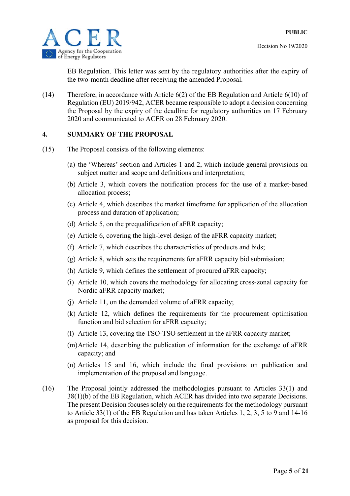



EB Regulation. This letter was sent by the regulatory authorities after the expiry of the two-month deadline after receiving the amended Proposal.

(14) Therefore, in accordance with Article 6(2) of the EB Regulation and Article 6(10) of Regulation (EU) 2019/942, ACER became responsible to adopt a decision concerning the Proposal by the expiry of the deadline for regulatory authorities on 17 February 2020 and communicated to ACER on 28 February 2020.

### **4. SUMMARY OF THE PROPOSAL**

- (15) The Proposal consists of the following elements:
	- (a) the 'Whereas' section and Articles 1 and 2, which include general provisions on subject matter and scope and definitions and interpretation;
	- (b) Article 3, which covers the notification process for the use of a market-based allocation process;
	- (c) Article 4, which describes the market timeframe for application of the allocation process and duration of application;
	- (d) Article 5, on the prequalification of aFRR capacity;
	- (e) Article 6, covering the high-level design of the aFRR capacity market;
	- (f) Article 7, which describes the characteristics of products and bids;
	- (g) Article 8, which sets the requirements for aFRR capacity bid submission;
	- (h) Article 9, which defines the settlement of procured aFRR capacity;
	- (i) Article 10, which covers the methodology for allocating cross-zonal capacity for Nordic aFRR capacity market;
	- (j) Article 11, on the demanded volume of aFRR capacity;
	- (k) Article 12, which defines the requirements for the procurement optimisation function and bid selection for aFRR capacity;
	- (l) Article 13, covering the TSO-TSO settlement in the aFRR capacity market;
	- (m)Article 14, describing the publication of information for the exchange of aFRR capacity; and
	- (n) Articles 15 and 16, which include the final provisions on publication and implementation of the proposal and language.
- (16) The Proposal jointly addressed the methodologies pursuant to Articles 33(1) and 38(1)(b) of the EB Regulation, which ACER has divided into two separate Decisions. The present Decision focuses solely on the requirements for the methodology pursuant to Article 33(1) of the EB Regulation and has taken Articles 1, 2, 3, 5 to 9 and 14-16 as proposal for this decision.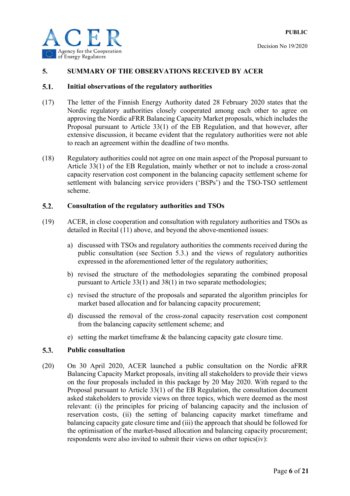

### **5. SUMMARY OF THE OBSERVATIONS RECEIVED BY ACER**

#### $5.1.$ **Initial observations of the regulatory authorities**

- (17) The letter of the Finnish Energy Authority dated 28 February 2020 states that the Nordic regulatory authorities closely cooperated among each other to agree on approving the Nordic aFRR Balancing Capacity Market proposals, which includes the Proposal pursuant to Article 33(1) of the EB Regulation, and that however, after extensive discussion, it became evident that the regulatory authorities were not able to reach an agreement within the deadline of two months.
- (18) Regulatory authorities could not agree on one main aspect of the Proposal pursuant to Article 33(1) of the EB Regulation, mainly whether or not to include a cross-zonal capacity reservation cost component in the balancing capacity settlement scheme for settlement with balancing service providers ('BSPs') and the TSO-TSO settlement scheme.

#### $5.2.$ **Consultation of the regulatory authorities and TSOs**

- (19) ACER, in close cooperation and consultation with regulatory authorities and TSOs as detailed in Recital (11) above, and beyond the above-mentioned issues:
	- a) discussed with TSOs and regulatory authorities the comments received during the public consultation (see Section 5.3.) and the views of regulatory authorities expressed in the aforementioned letter of the regulatory authorities;
	- b) revised the structure of the methodologies separating the combined proposal pursuant to Article 33(1) and 38(1) in two separate methodologies;
	- c) revised the structure of the proposals and separated the algorithm principles for market based allocation and for balancing capacity procurement;
	- d) discussed the removal of the cross-zonal capacity reservation cost component from the balancing capacity settlement scheme; and
	- e) setting the market timeframe & the balancing capacity gate closure time.

#### $5.3.$ **Public consultation**

(20) On 30 April 2020, ACER launched a public consultation on the Nordic aFRR Balancing Capacity Market proposals, inviting all stakeholders to provide their views on the four proposals included in this package by 20 May 2020. With regard to the Proposal pursuant to Article 33(1) of the EB Regulation, the consultation document asked stakeholders to provide views on three topics, which were deemed as the most relevant: (i) the principles for pricing of balancing capacity and the inclusion of reservation costs, (ii) the setting of balancing capacity market timeframe and balancing capacity gate closure time and (iii) the approach that should be followed for the optimisation of the market-based allocation and balancing capacity procurement; respondents were also invited to submit their views on other topics(iv):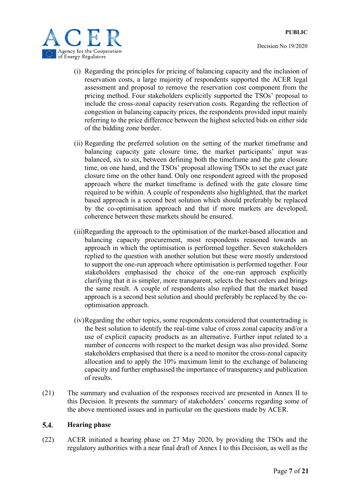

- (i) Regarding the principles for pricing of balancing capacity and the inclusion of reservation costs, a large majority of respondents supported the ACER legal assessment and proposal to remove the reservation cost component from the pricing method. Four stakeholders explicitly supported the TSOs' proposal to include the cross-zonal capacity reservation costs. Regarding the reflection of congestion in balancing capacity prices, the respondents provided input mainly referring to the price difference between the highest selected bids on either side of the bidding zone border.
- (ii) Regarding the preferred solution on the setting of the market timeframe and balancing capacity gate closure time, the market participants' input was balanced, six to six, between defining both the timeframe and the gate closure time, on one hand, and the TSOs' proposal allowing TSOs to set the exact gate closure time on the other hand. Only one respondent agreed with the proposed approach where the market timeframe is defined with the gate closure time required to be within. A couple of respondents also highlighted, that the market based approach is a second best solution which should preferably be replaced by the co-optimisation approach and that if more markets are developed, coherence between these markets should be ensured.
- (iii)Regarding the approach to the optimisation of the market-based allocation and balancing capacity procurement, most respondents reasoned towards an approach in which the optimisation is performed together. Seven stakeholders replied to the question with another solution but these were mostly understood to support the one-run approach where optimisation is performed together. Four stakeholders emphasised the choice of the one-run approach explicitly clarifying that it is simpler, more transparent, selects the best orders and brings the same result. A couple of respondents also replied that the market based approach is a second best solution and should preferably be replaced by the cooptimisation approach.
- (iv)Regarding the other topics, some respondents considered that countertrading is the best solution to identify the real-time value of cross zonal capacity and/or a use of explicit capacity products as an alternative. Further input related to a number of concerns with respect to the market design was also provided. Some stakeholders emphasised that there is a need to monitor the cross-zonal capacity allocation and to apply the 10% maximum limit to the exchange of balancing capacity and further emphasised the importance of transparency and publication of results.
- (21) The summary and evaluation of the responses received are presented in Annex II to this Decision. It presents the summary of stakeholders' concerns regarding some of the above mentioned issues and in particular on the questions made by ACER.

#### $5.4.$ **Hearing phase**

(22) ACER initiated a hearing phase on 27 May 2020, by providing the TSOs and the regulatory authorities with a near final draft of Annex I to this Decision, as well as the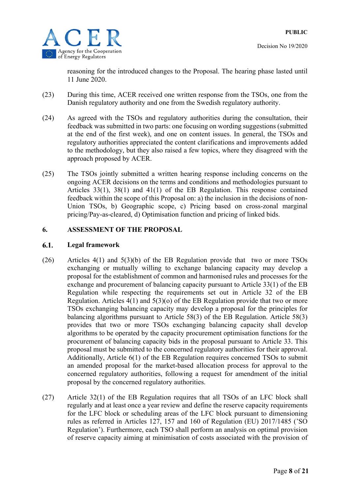



reasoning for the introduced changes to the Proposal. The hearing phase lasted until 11 June 2020.

- (23) During this time, ACER received one written response from the TSOs, one from the Danish regulatory authority and one from the Swedish regulatory authority.
- (24) As agreed with the TSOs and regulatory authorities during the consultation, their feedback was submitted in two parts: one focusing on wording suggestions (submitted at the end of the first week), and one on content issues. In general, the TSOs and regulatory authorities appreciated the content clarifications and improvements added to the methodology, but they also raised a few topics, where they disagreed with the approach proposed by ACER.
- (25) The TSOs jointly submitted a written hearing response including concerns on the ongoing ACER decisions on the terms and conditions and methodologies pursuant to Articles 33(1), 38(1) and 41(1) of the EB Regulation. This response contained feedback within the scope of this Proposal on: a) the inclusion in the decisions of non-Union TSOs, b) Geographic scope, c) Pricing based on cross-zonal marginal pricing/Pay-as-cleared, d) Optimisation function and pricing of linked bids.

### **6. ASSESSMENT OF THE PROPOSAL**

#### 6.1. **Legal framework**

- (26) Articles 4(1) and 5(3)(b) of the EB Regulation provide that two or more TSOs exchanging or mutually willing to exchange balancing capacity may develop a proposal for the establishment of common and harmonised rules and processes for the exchange and procurement of balancing capacity pursuant to Article 33(1) of the EB Regulation while respecting the requirements set out in Article 32 of the EB Regulation. Articles  $4(1)$  and  $5(3)(0)$  of the EB Regulation provide that two or more TSOs exchanging balancing capacity may develop a proposal for the principles for balancing algorithms pursuant to Article 58(3) of the EB Regulation. Article 58(3) provides that two or more TSOs exchanging balancing capacity shall develop algorithms to be operated by the capacity procurement optimisation functions for the procurement of balancing capacity bids in the proposal pursuant to Article 33. This proposal must be submitted to the concerned regulatory authorities for their approval. Additionally, Article 6(1) of the EB Regulation requires concerned TSOs to submit an amended proposal for the market-based allocation process for approval to the concerned regulatory authorities, following a request for amendment of the initial proposal by the concerned regulatory authorities.
- (27) Article 32(1) of the EB Regulation requires that all TSOs of an LFC block shall regularly and at least once a year review and define the reserve capacity requirements for the LFC block or scheduling areas of the LFC block pursuant to dimensioning rules as referred in Articles 127, 157 and 160 of Regulation (EU) 2017/1485 ('SO Regulation'). Furthermore, each TSO shall perform an analysis on optimal provision of reserve capacity aiming at minimisation of costs associated with the provision of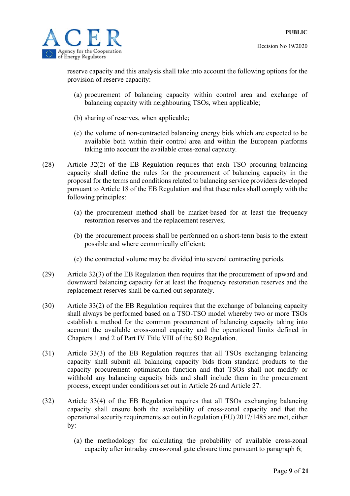

reserve capacity and this analysis shall take into account the following options for the provision of reserve capacity:

- (a) procurement of balancing capacity within control area and exchange of balancing capacity with neighbouring TSOs, when applicable;
- (b) sharing of reserves, when applicable;
- (c) the volume of non-contracted balancing energy bids which are expected to be available both within their control area and within the European platforms taking into account the available cross-zonal capacity*.*
- (28) Article 32(2) of the EB Regulation requires that each TSO procuring balancing capacity shall define the rules for the procurement of balancing capacity in the proposal for the terms and conditions related to balancing service providers developed pursuant to Article 18 of the EB Regulation and that these rules shall comply with the following principles:
	- (a) the procurement method shall be market-based for at least the frequency restoration reserves and the replacement reserves;
	- (b) the procurement process shall be performed on a short-term basis to the extent possible and where economically efficient;
	- (c) the contracted volume may be divided into several contracting periods.
- (29) Article 32(3) of the EB Regulation then requires that the procurement of upward and downward balancing capacity for at least the frequency restoration reserves and the replacement reserves shall be carried out separately.
- (30) Article 33(2) of the EB Regulation requires that the exchange of balancing capacity shall always be performed based on a TSO-TSO model whereby two or more TSOs establish a method for the common procurement of balancing capacity taking into account the available cross-zonal capacity and the operational limits defined in Chapters 1 and 2 of Part IV Title VIII of the SO Regulation.
- (31) Article 33(3) of the EB Regulation requires that all TSOs exchanging balancing capacity shall submit all balancing capacity bids from standard products to the capacity procurement optimisation function and that TSOs shall not modify or withhold any balancing capacity bids and shall include them in the procurement process, except under conditions set out in Article 26 and Article 27.
- (32) Article 33(4) of the EB Regulation requires that all TSOs exchanging balancing capacity shall ensure both the availability of cross-zonal capacity and that the operational security requirements set out in Regulation (EU) 2017/1485 are met, either by:
	- (a) the methodology for calculating the probability of available cross-zonal capacity after intraday cross-zonal gate closure time pursuant to paragraph 6;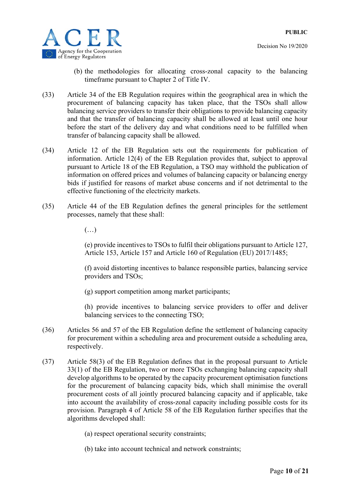

- Decision No 19/2020
- (b) the methodologies for allocating cross-zonal capacity to the balancing timeframe pursuant to Chapter 2 of Title IV.
- (33) Article 34 of the EB Regulation requires within the geographical area in which the procurement of balancing capacity has taken place, that the TSOs shall allow balancing service providers to transfer their obligations to provide balancing capacity and that the transfer of balancing capacity shall be allowed at least until one hour before the start of the delivery day and what conditions need to be fulfilled when transfer of balancing capacity shall be allowed.
- (34) Article 12 of the EB Regulation sets out the requirements for publication of information. Article 12(4) of the EB Regulation provides that, subject to approval pursuant to Article 18 of the EB Regulation, a TSO may withhold the publication of information on offered prices and volumes of balancing capacity or balancing energy bids if justified for reasons of market abuse concerns and if not detrimental to the effective functioning of the electricity markets.
- (35) Article 44 of the EB Regulation defines the general principles for the settlement processes, namely that these shall:
	- $\left(\ldots\right)$

(e) provide incentives to TSOs to fulfil their obligations pursuant to Article 127, Article 153, Article 157 and Article 160 of Regulation (EU) 2017/1485;

(f) avoid distorting incentives to balance responsible parties, balancing service providers and TSOs;

(g) support competition among market participants;

(h) provide incentives to balancing service providers to offer and deliver balancing services to the connecting TSO;

- (36) Articles 56 and 57 of the EB Regulation define the settlement of balancing capacity for procurement within a scheduling area and procurement outside a scheduling area, respectively.
- (37) Article 58(3) of the EB Regulation defines that in the proposal pursuant to Article 33(1) of the EB Regulation, two or more TSOs exchanging balancing capacity shall develop algorithms to be operated by the capacity procurement optimisation functions for the procurement of balancing capacity bids, which shall minimise the overall procurement costs of all jointly procured balancing capacity and if applicable, take into account the availability of cross-zonal capacity including possible costs for its provision. Paragraph 4 of Article 58 of the EB Regulation further specifies that the algorithms developed shall:
	- (a) respect operational security constraints;
	- (b) take into account technical and network constraints;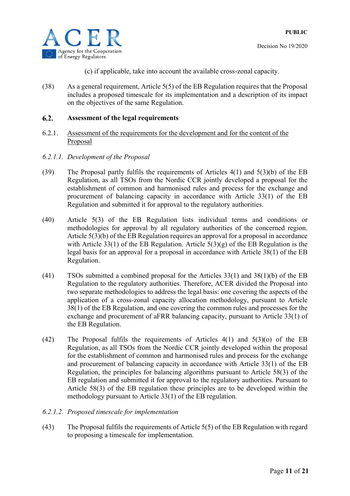

- (c) if applicable, take into account the available cross-zonal capacity.
- (38) As a general requirement, Article 5(5) of the EB Regulation requires that the Proposal includes a proposed timescale for its implementation and a description of its impact on the objectives of the same Regulation.

#### **Assessment of the legal requirements**   $6.2.$

- 6.2.1. Assessment of the requirements for the development and for the content of the Proposal
- *6.2.1.1. Development of the Proposal*
- (39) The Proposal partly fulfils the requirements of Articles 4(1) and 5(3)(b) of the EB Regulation, as all TSOs from the Nordic CCR jointly developed a proposal for the establishment of common and harmonised rules and process for the exchange and procurement of balancing capacity in accordance with Article 33(1) of the EB Regulation and submitted it for approval to the regulatory authorities.
- (40) Article 5(3) of the EB Regulation lists individual terms and conditions or methodologies for approval by all regulatory authorities of the concerned region. Article 5(3)(b) of the EB Regulation requires an approval for a proposal in accordance with Article 33(1) of the EB Regulation. Article  $5(3)(g)$  of the EB Regulation is the legal basis for an approval for a proposal in accordance with Article 38(1) of the EB Regulation.
- (41) TSOs submitted a combined proposal for the Articles 33(1) and 38(1)(b) of the EB Regulation to the regulatory authorities. Therefore, ACER divided the Proposal into two separate methodologies to address the legal basis: one covering the aspects of the application of a cross-zonal capacity allocation methodology, pursuant to Article 38(1) of the EB Regulation, and one covering the common rules and processes for the exchange and procurement of aFRR balancing capacity, pursuant to Article 33(1) of the EB Regulation.
- (42) The Proposal fulfils the requirements of Articles 4(1) and 5(3)(o) of the EB Regulation, as all TSOs from the Nordic CCR jointly developed within the proposal for the establishment of common and harmonised rules and process for the exchange and procurement of balancing capacity in accordance with Article 33(1) of the EB Regulation, the principles for balancing algorithms pursuant to Article 58(3) of the EB regulation and submitted it for approval to the regulatory authorities. Pursuant to Article 58(3) of the EB regulation these principles are to be developed within the methodology pursuant to Article 33(1) of the EB regulation.
- *6.2.1.2. Proposed timescale for implementation*
- (43) The Proposal fulfils the requirements of Article 5(5) of the EB Regulation with regard to proposing a timescale for implementation.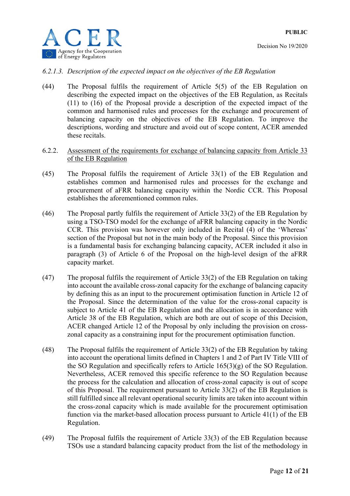

### *6.2.1.3. Description of the expected impact on the objectives of the EB Regulation*

(44) The Proposal fulfils the requirement of Article 5(5) of the EB Regulation on describing the expected impact on the objectives of the EB Regulation, as Recitals (11) to (16) of the Proposal provide a description of the expected impact of the common and harmonised rules and processes for the exchange and procurement of balancing capacity on the objectives of the EB Regulation. To improve the descriptions, wording and structure and avoid out of scope content, ACER amended these recitals.

### 6.2.2. Assessment of the requirements for exchange of balancing capacity from Article 33 of the EB Regulation

- (45) The Proposal fulfils the requirement of Article 33(1) of the EB Regulation and establishes common and harmonised rules and processes for the exchange and procurement of aFRR balancing capacity within the Nordic CCR. This Proposal establishes the aforementioned common rules.
- (46) The Proposal partly fulfils the requirement of Article 33(2) of the EB Regulation by using a TSO-TSO model for the exchange of aFRR balancing capacity in the Nordic CCR. This provision was however only included in Recital (4) of the 'Whereas' section of the Proposal but not in the main body of the Proposal. Since this provision is a fundamental basis for exchanging balancing capacity, ACER included it also in paragraph (3) of Article 6 of the Proposal on the high-level design of the aFRR capacity market.
- (47) The proposal fulfils the requirement of Article 33(2) of the EB Regulation on taking into account the available cross-zonal capacity for the exchange of balancing capacity by defining this as an input to the procurement optimisation function in Article 12 of the Proposal. Since the determination of the value for the cross-zonal capacity is subject to Article 41 of the EB Regulation and the allocation is in accordance with Article 38 of the EB Regulation, which are both are out of scope of this Decision, ACER changed Article 12 of the Proposal by only including the provision on crosszonal capacity as a constraining input for the procurement optimisation function.
- (48) The Proposal fulfils the requirement of Article 33(2) of the EB Regulation by taking into account the operational limits defined in Chapters 1 and 2 of Part IV Title VIII of the SO Regulation and specifically refers to Article  $165(3)(g)$  of the SO Regulation. Nevertheless, ACER removed this specific reference to the SO Regulation because the process for the calculation and allocation of cross-zonal capacity is out of scope of this Proposal. The requirement pursuant to Article 33(2) of the EB Regulation is still fulfilled since all relevant operational security limits are taken into account within the cross-zonal capacity which is made available for the procurement optimisation function via the market-based allocation process pursuant to Article 41(1) of the EB Regulation.
- (49) The Proposal fulfils the requirement of Article 33(3) of the EB Regulation because TSOs use a standard balancing capacity product from the list of the methodology in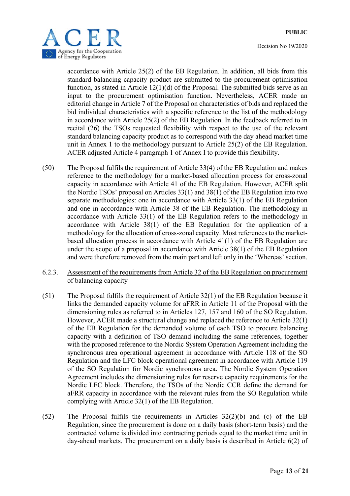

accordance with Article 25(2) of the EB Regulation. In addition, all bids from this standard balancing capacity product are submitted to the procurement optimisation function, as stated in Article 12(1)(d) of the Proposal. The submitted bids serve as an input to the procurement optimisation function. Nevertheless, ACER made an editorial change in Article 7 of the Proposal on characteristics of bids and replaced the bid individual characteristics with a specific reference to the list of the methodology in accordance with Article 25(2) of the EB Regulation. In the feedback referred to in recital (26) the TSOs requested flexibility with respect to the use of the relevant standard balancing capacity product as to correspond with the day ahead market time unit in Annex 1 to the methodology pursuant to Article 25(2) of the EB Regulation. ACER adjusted Article 4 paragraph 1 of Annex I to provide this flexibility.

- (50) The Proposal fulfils the requirement of Article 33(4) of the EB Regulation and makes reference to the methodology for a market-based allocation process for cross-zonal capacity in accordance with Article 41 of the EB Regulation. However, ACER split the Nordic TSOs' proposal on Articles 33(1) and 38(1) of the EB Regulation into two separate methodologies: one in accordance with Article 33(1) of the EB Regulation and one in accordance with Article 38 of the EB Regulation. The methodology in accordance with Article 33(1) of the EB Regulation refers to the methodology in accordance with Article 38(1) of the EB Regulation for the application of a methodology for the allocation of cross-zonal capacity. Most references to the marketbased allocation process in accordance with Article 41(1) of the EB Regulation are under the scope of a proposal in accordance with Article 38(1) of the EB Regulation and were therefore removed from the main part and left only in the 'Whereas' section.
- 6.2.3. Assessment of the requirements from Article 32 of the EB Regulation on procurement of balancing capacity
- (51) The Proposal fulfils the requirement of Article 32(1) of the EB Regulation because it links the demanded capacity volume for aFRR in Article 11 of the Proposal with the dimensioning rules as referred to in Articles 127, 157 and 160 of the SO Regulation. However, ACER made a structural change and replaced the reference to Article 32(1) of the EB Regulation for the demanded volume of each TSO to procure balancing capacity with a definition of TSO demand including the same references, together with the proposed reference to the Nordic System Operation Agreement including the synchronous area operational agreement in accordance with Article 118 of the SO Regulation and the LFC block operational agreement in accordance with Article 119 of the SO Regulation for Nordic synchronous area. The Nordic System Operation Agreement includes the dimensioning rules for reserve capacity requirements for the Nordic LFC block. Therefore, the TSOs of the Nordic CCR define the demand for aFRR capacity in accordance with the relevant rules from the SO Regulation while complying with Article 32(1) of the EB Regulation.
- (52) The Proposal fulfils the requirements in Articles 32(2)(b) and (c) of the EB Regulation, since the procurement is done on a daily basis (short-term basis) and the contracted volume is divided into contracting periods equal to the market time unit in day-ahead markets. The procurement on a daily basis is described in Article 6(2) of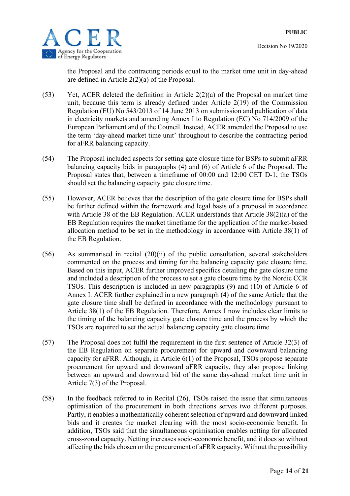

the Proposal and the contracting periods equal to the market time unit in day-ahead are defined in Article 2(2)(a) of the Proposal.

- (53) Yet, ACER deleted the definition in Article 2(2)(a) of the Proposal on market time unit, because this term is already defined under Article 2(19) of the Commission Regulation (EU) No 543/2013 of 14 June 2013 on submission and publication of data in electricity markets and amending Annex I to Regulation (EC) No 714/2009 of the European Parliament and of the Council. Instead, ACER amended the Proposal to use the term 'day-ahead market time unit' throughout to describe the contracting period for aFRR balancing capacity.
- (54) The Proposal included aspects for setting gate closure time for BSPs to submit aFRR balancing capacity bids in paragraphs (4) and (6) of Article 6 of the Proposal. The Proposal states that, between a timeframe of 00:00 and 12:00 CET D-1, the TSOs should set the balancing capacity gate closure time.
- (55) However, ACER believes that the description of the gate closure time for BSPs shall be further defined within the framework and legal basis of a proposal in accordance with Article 38 of the EB Regulation. ACER understands that Article 38(2)(a) of the EB Regulation requires the market timeframe for the application of the market-based allocation method to be set in the methodology in accordance with Article 38(1) of the EB Regulation.
- (56) As summarised in recital (20)(ii) of the public consultation, several stakeholders commented on the process and timing for the balancing capacity gate closure time. Based on this input, ACER further improved specifics detailing the gate closure time and included a description of the process to set a gate closure time by the Nordic CCR TSOs. This description is included in new paragraphs (9) and (10) of Article 6 of Annex I. ACER further explained in a new paragraph (4) of the same Article that the gate closure time shall be defined in accordance with the methodology pursuant to Article 38(1) of the EB Regulation. Therefore, Annex I now includes clear limits to the timing of the balancing capacity gate closure time and the process by which the TSOs are required to set the actual balancing capacity gate closure time.
- (57) The Proposal does not fulfil the requirement in the first sentence of Article 32(3) of the EB Regulation on separate procurement for upward and downward balancing capacity for aFRR. Although, in Article 6(1) of the Proposal, TSOs propose separate procurement for upward and downward aFRR capacity, they also propose linking between an upward and downward bid of the same day-ahead market time unit in Article 7(3) of the Proposal.
- (58) In the feedback referred to in Recital (26), TSOs raised the issue that simultaneous optimisation of the procurement in both directions serves two different purposes. Partly, it enables a mathematically coherent selection of upward and downward linked bids and it creates the market clearing with the most socio-economic benefit. In addition, TSOs said that the simultaneous optimisation enables netting for allocated cross-zonal capacity. Netting increases socio-economic benefit, and it does so without affecting the bids chosen or the procurement of aFRR capacity. Without the possibility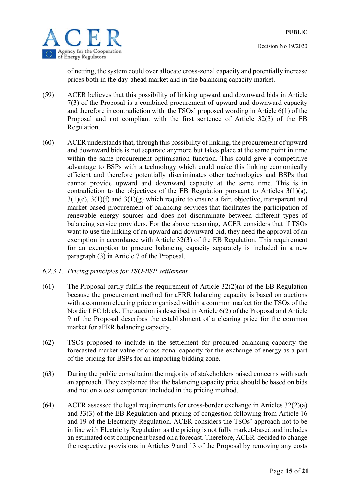



of netting, the system could over allocate cross-zonal capacity and potentially increase prices both in the day-ahead market and in the balancing capacity market.

- (59) ACER believes that this possibility of linking upward and downward bids in Article 7(3) of the Proposal is a combined procurement of upward and downward capacity and therefore in contradiction with the TSOs' proposed wording in Article 6(1) of the Proposal and not compliant with the first sentence of Article 32(3) of the EB Regulation.
- (60) ACER understands that, through this possibility of linking, the procurement of upward and downward bids is not separate anymore but takes place at the same point in time within the same procurement optimisation function. This could give a competitive advantage to BSPs with a technology which could make this linking economically efficient and therefore potentially discriminates other technologies and BSPs that cannot provide upward and downward capacity at the same time. This is in contradiction to the objectives of the EB Regulation pursuant to Articles 3(1)(a),  $3(1)(e)$ ,  $3(1)(f)$  and  $3(1)(g)$  which require to ensure a fair, objective, transparent and market based procurement of balancing services that facilitates the participation of renewable energy sources and does not discriminate between different types of balancing service providers. For the above reasoning, ACER considers that if TSOs want to use the linking of an upward and downward bid, they need the approval of an exemption in accordance with Article 32(3) of the EB Regulation. This requirement for an exemption to procure balancing capacity separately is included in a new paragraph (3) in Article 7 of the Proposal.

### *6.2.3.1. Pricing principles for TSO-BSP settlement*

- (61) The Proposal partly fulfils the requirement of Article  $32(2)(a)$  of the EB Regulation because the procurement method for aFRR balancing capacity is based on auctions with a common clearing price organised within a common market for the TSOs of the Nordic LFC block. The auction is described in Article 6(2) of the Proposal and Article 9 of the Proposal describes the establishment of a clearing price for the common market for aFRR balancing capacity.
- (62) TSOs proposed to include in the settlement for procured balancing capacity the forecasted market value of cross-zonal capacity for the exchange of energy as a part of the pricing for BSPs for an importing bidding zone.
- (63) During the public consultation the majority of stakeholders raised concerns with such an approach. They explained that the balancing capacity price should be based on bids and not on a cost component included in the pricing method.
- (64) ACER assessed the legal requirements for cross-border exchange in Articles 32(2)(a) and 33(3) of the EB Regulation and pricing of congestion following from Article 16 and 19 of the Electricity Regulation. ACER considers the TSOs' approach not to be in line with Electricity Regulation as the pricing is not fully market-based and includes an estimated cost component based on a forecast. Therefore, ACER decided to change the respective provisions in Articles 9 and 13 of the Proposal by removing any costs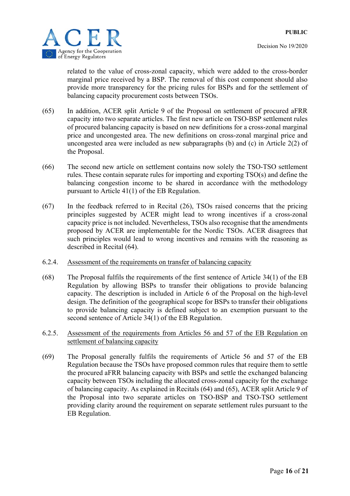

related to the value of cross-zonal capacity, which were added to the cross-border marginal price received by a BSP. The removal of this cost component should also provide more transparency for the pricing rules for BSPs and for the settlement of balancing capacity procurement costs between TSOs.

- (65) In addition, ACER split Article 9 of the Proposal on settlement of procured aFRR capacity into two separate articles. The first new article on TSO-BSP settlement rules of procured balancing capacity is based on new definitions for a cross-zonal marginal price and uncongested area. The new definitions on cross-zonal marginal price and uncongested area were included as new subparagraphs (b) and (c) in Article 2(2) of the Proposal.
- (66) The second new article on settlement contains now solely the TSO-TSO settlement rules. These contain separate rules for importing and exporting TSO(s) and define the balancing congestion income to be shared in accordance with the methodology pursuant to Article 41(1) of the EB Regulation.
- $(67)$  In the feedback referred to in Recital  $(26)$ , TSOs raised concerns that the pricing principles suggested by ACER might lead to wrong incentives if a cross-zonal capacity price is not included. Nevertheless, TSOs also recognise that the amendments proposed by ACER are implementable for the Nordic TSOs. ACER disagrees that such principles would lead to wrong incentives and remains with the reasoning as described in Recital (64).
- 6.2.4. Assessment of the requirements on transfer of balancing capacity
- (68) The Proposal fulfils the requirements of the first sentence of Article 34(1) of the EB Regulation by allowing BSPs to transfer their obligations to provide balancing capacity. The description is included in Article 6 of the Proposal on the high-level design. The definition of the geographical scope for BSPs to transfer their obligations to provide balancing capacity is defined subject to an exemption pursuant to the second sentence of Article 34(1) of the EB Regulation.
- 6.2.5. Assessment of the requirements from Articles 56 and 57 of the EB Regulation on settlement of balancing capacity
- (69) The Proposal generally fulfils the requirements of Article 56 and 57 of the EB Regulation because the TSOs have proposed common rules that require them to settle the procured aFRR balancing capacity with BSPs and settle the exchanged balancing capacity between TSOs including the allocated cross-zonal capacity for the exchange of balancing capacity. As explained in Recitals (64) and (65), ACER split Article 9 of the Proposal into two separate articles on TSO-BSP and TSO-TSO settlement providing clarity around the requirement on separate settlement rules pursuant to the EB Regulation.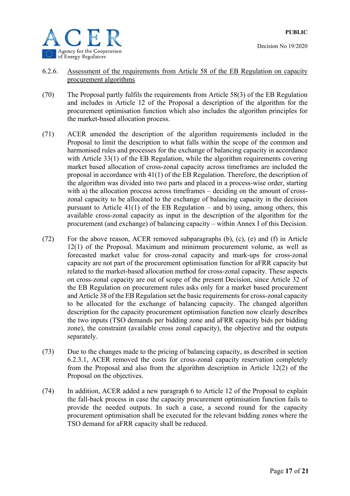

- 6.2.6. Assessment of the requirements from Article 58 of the EB Regulation on capacity procurement algorithms
- (70) The Proposal partly fulfils the requirements from Article 58(3) of the EB Regulation and includes in Article 12 of the Proposal a description of the algorithm for the procurement optimisation function which also includes the algorithm principles for the market-based allocation process.
- (71) ACER amended the description of the algorithm requirements included in the Proposal to limit the description to what falls within the scope of the common and harmonised rules and processes for the exchange of balancing capacity in accordance with Article 33(1) of the EB Regulation, while the algorithm requirements covering market based allocation of cross-zonal capacity across timeframes are included the proposal in accordance with 41(1) of the EB Regulation. Therefore, the description of the algorithm was divided into two parts and placed in a process-wise order, starting with a) the allocation process across timeframes – deciding on the amount of crosszonal capacity to be allocated to the exchange of balancing capacity in the decision pursuant to Article  $41(1)$  of the EB Regulation – and b) using, among others, this available cross-zonal capacity as input in the description of the algorithm for the procurement (and exchange) of balancing capacity – within Annex I of this Decision.
- (72) For the above reason, ACER removed subparagraphs (b), (c), (e) and (f) in Article 12(1) of the Proposal. Maximum and minimum procurement volume, as well as forecasted market value for cross-zonal capacity and mark-ups for cross-zonal capacity are not part of the procurement optimisation function for aFRR capacity but related to the market-based allocation method for cross-zonal capacity. These aspects on cross-zonal capacity are out of scope of the present Decision, since Article 32 of the EB Regulation on procurement rules asks only for a market based procurement and Article 38 of the EB Regulation set the basic requirements for cross-zonal capacity to be allocated for the exchange of balancing capacity. The changed algorithm description for the capacity procurement optimisation function now clearly describes the two inputs (TSO demands per bidding zone and aFRR capacity bids per bidding zone), the constraint (available cross zonal capacity), the objective and the outputs separately.
- (73) Due to the changes made to the pricing of balancing capacity, as described in section 6.2.3.1, ACER removed the costs for cross-zonal capacity reservation completely from the Proposal and also from the algorithm description in Article 12(2) of the Proposal on the objectives.
- (74) In addition, ACER added a new paragraph 6 to Article 12 of the Proposal to explain the fall-back process in case the capacity procurement optimisation function fails to provide the needed outputs. In such a case, a second round for the capacity procurement optimisation shall be executed for the relevant bidding zones where the TSO demand for aFRR capacity shall be reduced.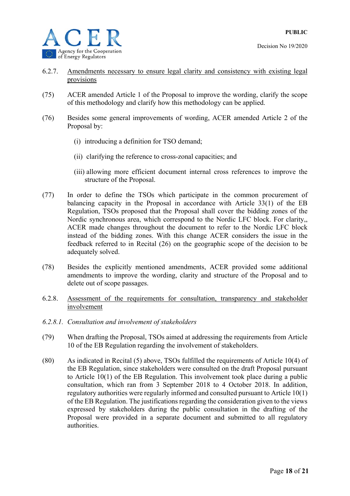- 6.2.7. Amendments necessary to ensure legal clarity and consistency with existing legal provisions
- (75) ACER amended Article 1 of the Proposal to improve the wording, clarify the scope of this methodology and clarify how this methodology can be applied.
- (76) Besides some general improvements of wording, ACER amended Article 2 of the Proposal by:
	- (i) introducing a definition for TSO demand;
	- (ii) clarifying the reference to cross-zonal capacities; and
	- (iii) allowing more efficient document internal cross references to improve the structure of the Proposal.
- (77) In order to define the TSOs which participate in the common procurement of balancing capacity in the Proposal in accordance with Article 33(1) of the EB Regulation, TSOs proposed that the Proposal shall cover the bidding zones of the Nordic synchronous area, which correspond to the Nordic LFC block. For clarity,, ACER made changes throughout the document to refer to the Nordic LFC block instead of the bidding zones. With this change ACER considers the issue in the feedback referred to in Recital (26) on the geographic scope of the decision to be adequately solved.
- (78) Besides the explicitly mentioned amendments, ACER provided some additional amendments to improve the wording, clarity and structure of the Proposal and to delete out of scope passages.
- 6.2.8. Assessment of the requirements for consultation, transparency and stakeholder involvement
- *6.2.8.1. Consultation and involvement of stakeholders*
- (79) When drafting the Proposal, TSOs aimed at addressing the requirements from Article 10 of the EB Regulation regarding the involvement of stakeholders.
- (80) As indicated in Recital (5) above, TSOs fulfilled the requirements of Article 10(4) of the EB Regulation, since stakeholders were consulted on the draft Proposal pursuant to Article 10(1) of the EB Regulation. This involvement took place during a public consultation, which ran from 3 September 2018 to 4 October 2018. In addition, regulatory authorities were regularly informed and consulted pursuant to Article 10(1) of the EB Regulation. The justifications regarding the consideration given to the views expressed by stakeholders during the public consultation in the drafting of the Proposal were provided in a separate document and submitted to all regulatory authorities.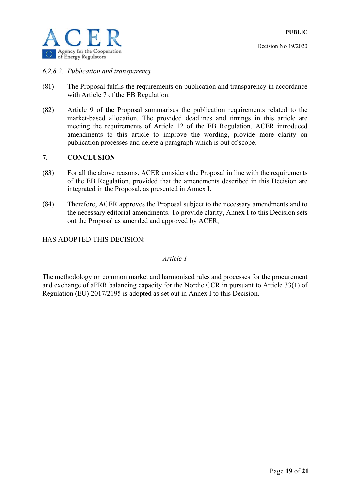

### *6.2.8.2. Publication and transparency*

- (81) The Proposal fulfils the requirements on publication and transparency in accordance with Article 7 of the EB Regulation.
- (82) Article 9 of the Proposal summarises the publication requirements related to the market-based allocation. The provided deadlines and timings in this article are meeting the requirements of Article 12 of the EB Regulation. ACER introduced amendments to this article to improve the wording, provide more clarity on publication processes and delete a paragraph which is out of scope.

### **7. CONCLUSION**

- (83) For all the above reasons, ACER considers the Proposal in line with the requirements of the EB Regulation, provided that the amendments described in this Decision are integrated in the Proposal, as presented in Annex I.
- (84) Therefore, ACER approves the Proposal subject to the necessary amendments and to the necessary editorial amendments. To provide clarity, Annex I to this Decision sets out the Proposal as amended and approved by ACER,

HAS ADOPTED THIS DECISION:

### *Article 1*

The methodology on common market and harmonised rules and processes for the procurement and exchange of aFRR balancing capacity for the Nordic CCR in pursuant to Article 33(1) of Regulation (EU) 2017/2195 is adopted as set out in Annex I to this Decision.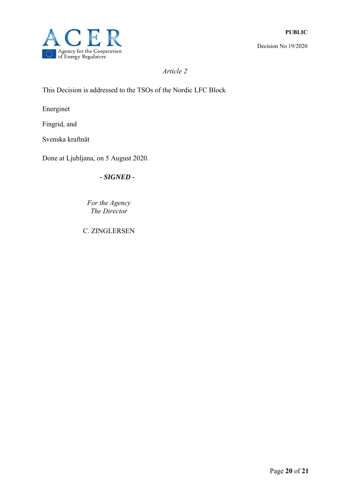

*Article 2* 

This Decision is addressed to the TSOs of the Nordic LFC Block

Energinet

Fingrid, and

Svenska kraftnät

Done at Ljubljana, on 5 August 2020.

*- SIGNED -* 

*Fоr the Agency The Director* 

C. ZINGLERSEN